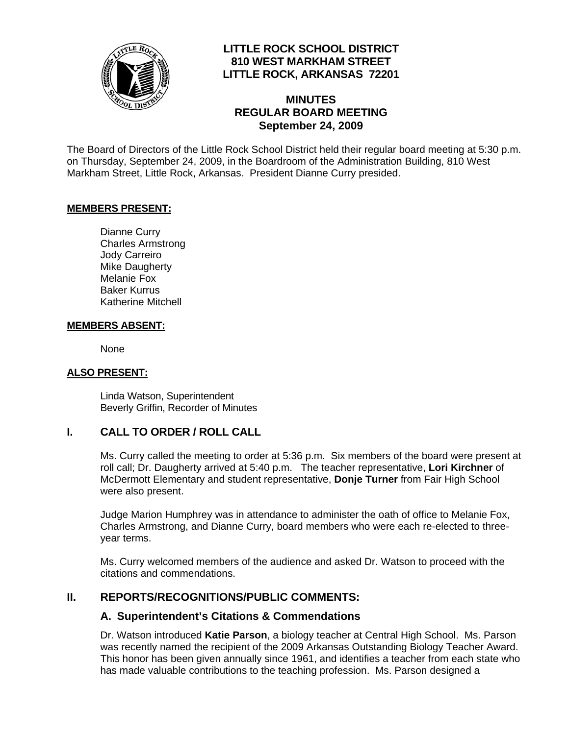

## **LITTLE ROCK SCHOOL DISTRICT 810 WEST MARKHAM STREET LITTLE ROCK, ARKANSAS 72201**

## **MINUTES REGULAR BOARD MEETING September 24, 2009**

The Board of Directors of the Little Rock School District held their regular board meeting at 5:30 p.m. on Thursday, September 24, 2009, in the Boardroom of the Administration Building, 810 West Markham Street, Little Rock, Arkansas. President Dianne Curry presided.

### **MEMBERS PRESENT:**

Dianne Curry Charles Armstrong Jody Carreiro Mike Daugherty Melanie Fox Baker Kurrus Katherine Mitchell

### **MEMBERS ABSENT:**

None

### **ALSO PRESENT:**

 Linda Watson, Superintendent Beverly Griffin, Recorder of Minutes

### **I. CALL TO ORDER / ROLL CALL**

Ms. Curry called the meeting to order at 5:36 p.m. Six members of the board were present at roll call; Dr. Daugherty arrived at 5:40 p.m. The teacher representative, **Lori Kirchner** of McDermott Elementary and student representative, **Donje Turner** from Fair High School were also present.

Judge Marion Humphrey was in attendance to administer the oath of office to Melanie Fox, Charles Armstrong, and Dianne Curry, board members who were each re-elected to threeyear terms.

Ms. Curry welcomed members of the audience and asked Dr. Watson to proceed with the citations and commendations.

# **II. REPORTS/RECOGNITIONS/PUBLIC COMMENTS:**

### **A. Superintendent's Citations & Commendations**

Dr. Watson introduced **Katie Parson**, a biology teacher at Central High School. Ms. Parson was recently named the recipient of the 2009 Arkansas Outstanding Biology Teacher Award. This honor has been given annually since 1961, and identifies a teacher from each state who has made valuable contributions to the teaching profession. Ms. Parson designed a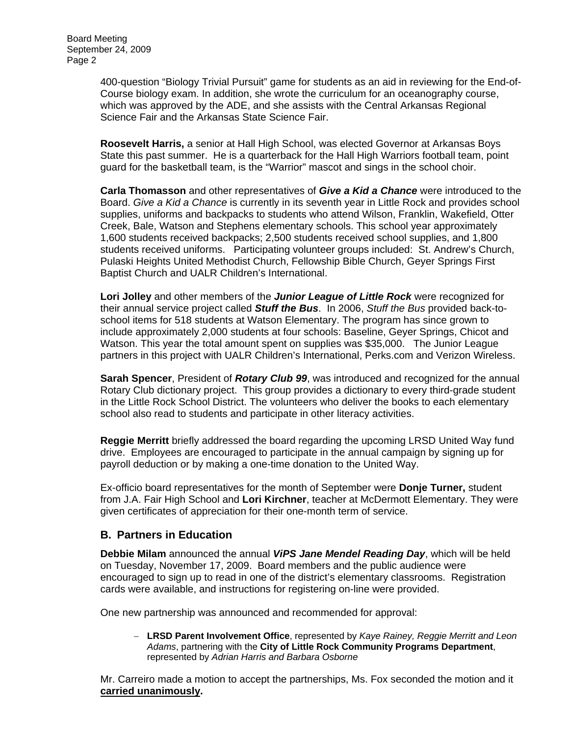400-question "Biology Trivial Pursuit" game for students as an aid in reviewing for the End-of-Course biology exam. In addition, she wrote the curriculum for an oceanography course, which was approved by the ADE, and she assists with the Central Arkansas Regional Science Fair and the Arkansas State Science Fair.

**Roosevelt Harris,** a senior at Hall High School, was elected Governor at Arkansas Boys State this past summer. He is a quarterback for the Hall High Warriors football team, point guard for the basketball team, is the "Warrior" mascot and sings in the school choir.

**Carla Thomasson** and other representatives of *Give a Kid a Chance* were introduced to the Board. *Give a Kid a Chance* is currently in its seventh year in Little Rock and provides school supplies, uniforms and backpacks to students who attend Wilson, Franklin, Wakefield, Otter Creek, Bale, Watson and Stephens elementary schools. This school year approximately 1,600 students received backpacks; 2,500 students received school supplies, and 1,800 students received uniforms. Participating volunteer groups included: St. Andrew's Church, Pulaski Heights United Methodist Church, Fellowship Bible Church, Geyer Springs First Baptist Church and UALR Children's International.

**Lori Jolley** and other members of the *Junior League of Little Rock* were recognized for their annual service project called *Stuff the Bus*. In 2006, *Stuff the Bus* provided back-toschool items for 518 students at Watson Elementary. The program has since grown to include approximately 2,000 students at four schools: Baseline, Geyer Springs, Chicot and Watson. This year the total amount spent on supplies was \$35,000. The Junior League partners in this project with UALR Children's International, Perks.com and Verizon Wireless.

**Sarah Spencer**, President of *Rotary Club 99*, was introduced and recognized for the annual Rotary Club dictionary project. This group provides a dictionary to every third-grade student in the Little Rock School District. The volunteers who deliver the books to each elementary school also read to students and participate in other literacy activities.

**Reggie Merritt** briefly addressed the board regarding the upcoming LRSD United Way fund drive. Employees are encouraged to participate in the annual campaign by signing up for payroll deduction or by making a one-time donation to the United Way.

Ex-officio board representatives for the month of September were **Donje Turner,** student from J.A. Fair High School and **Lori Kirchner**, teacher at McDermott Elementary. They were given certificates of appreciation for their one-month term of service.

### **B. Partners in Education**

**Debbie Milam** announced the annual *ViPS Jane Mendel Reading Day*, which will be held on Tuesday, November 17, 2009. Board members and the public audience were encouraged to sign up to read in one of the district's elementary classrooms. Registration cards were available, and instructions for registering on-line were provided.

One new partnership was announced and recommended for approval:

− **LRSD Parent Involvement Office**, represented by *Kaye Rainey, Reggie Merritt and Leon Adams*, partnering with the **City of Little Rock Community Programs Department**, represented by *Adrian Harris and Barbara Osborne*

Mr. Carreiro made a motion to accept the partnerships, Ms. Fox seconded the motion and it **carried unanimously.**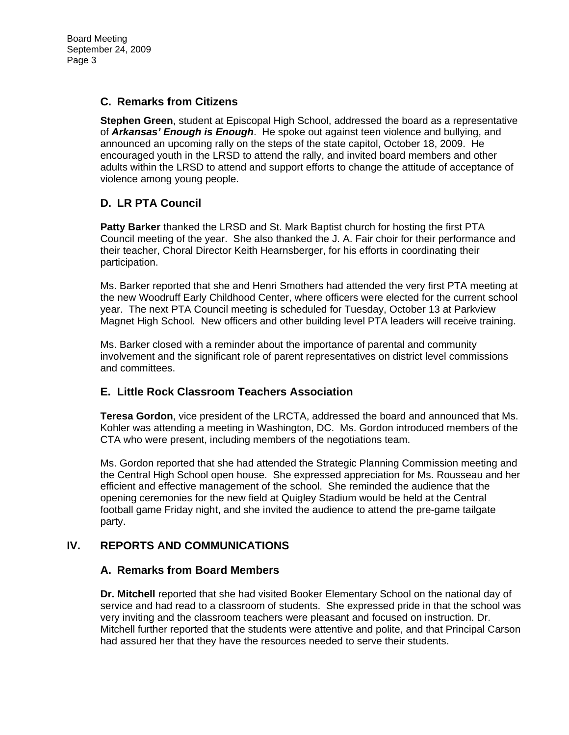### **C. Remarks from Citizens**

**Stephen Green**, student at Episcopal High School, addressed the board as a representative of *Arkansas' Enough is Enough*. He spoke out against teen violence and bullying, and announced an upcoming rally on the steps of the state capitol, October 18, 2009. He encouraged youth in the LRSD to attend the rally, and invited board members and other adults within the LRSD to attend and support efforts to change the attitude of acceptance of violence among young people.

# **D. LR PTA Council**

**Patty Barker** thanked the LRSD and St. Mark Baptist church for hosting the first PTA Council meeting of the year. She also thanked the J. A. Fair choir for their performance and their teacher, Choral Director Keith Hearnsberger, for his efforts in coordinating their participation.

Ms. Barker reported that she and Henri Smothers had attended the very first PTA meeting at the new Woodruff Early Childhood Center, where officers were elected for the current school year. The next PTA Council meeting is scheduled for Tuesday, October 13 at Parkview Magnet High School. New officers and other building level PTA leaders will receive training.

Ms. Barker closed with a reminder about the importance of parental and community involvement and the significant role of parent representatives on district level commissions and committees.

# **E. Little Rock Classroom Teachers Association**

**Teresa Gordon**, vice president of the LRCTA, addressed the board and announced that Ms. Kohler was attending a meeting in Washington, DC. Ms. Gordon introduced members of the CTA who were present, including members of the negotiations team.

Ms. Gordon reported that she had attended the Strategic Planning Commission meeting and the Central High School open house. She expressed appreciation for Ms. Rousseau and her efficient and effective management of the school. She reminded the audience that the opening ceremonies for the new field at Quigley Stadium would be held at the Central football game Friday night, and she invited the audience to attend the pre-game tailgate party.

# **IV. REPORTS AND COMMUNICATIONS**

### **A. Remarks from Board Members**

**Dr. Mitchell** reported that she had visited Booker Elementary School on the national day of service and had read to a classroom of students. She expressed pride in that the school was very inviting and the classroom teachers were pleasant and focused on instruction. Dr. Mitchell further reported that the students were attentive and polite, and that Principal Carson had assured her that they have the resources needed to serve their students.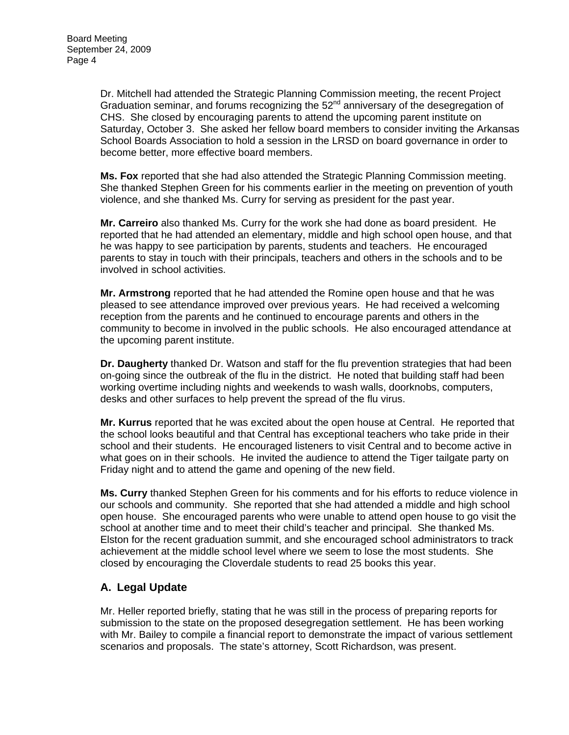Dr. Mitchell had attended the Strategic Planning Commission meeting, the recent Project Graduation seminar, and forums recognizing the 52<sup>nd</sup> anniversary of the desegregation of CHS. She closed by encouraging parents to attend the upcoming parent institute on Saturday, October 3. She asked her fellow board members to consider inviting the Arkansas School Boards Association to hold a session in the LRSD on board governance in order to become better, more effective board members.

**Ms. Fox** reported that she had also attended the Strategic Planning Commission meeting. She thanked Stephen Green for his comments earlier in the meeting on prevention of youth violence, and she thanked Ms. Curry for serving as president for the past year.

**Mr. Carreiro** also thanked Ms. Curry for the work she had done as board president. He reported that he had attended an elementary, middle and high school open house, and that he was happy to see participation by parents, students and teachers. He encouraged parents to stay in touch with their principals, teachers and others in the schools and to be involved in school activities.

**Mr. Armstrong** reported that he had attended the Romine open house and that he was pleased to see attendance improved over previous years. He had received a welcoming reception from the parents and he continued to encourage parents and others in the community to become in involved in the public schools. He also encouraged attendance at the upcoming parent institute.

**Dr. Daugherty** thanked Dr. Watson and staff for the flu prevention strategies that had been on-going since the outbreak of the flu in the district. He noted that building staff had been working overtime including nights and weekends to wash walls, doorknobs, computers, desks and other surfaces to help prevent the spread of the flu virus.

**Mr. Kurrus** reported that he was excited about the open house at Central. He reported that the school looks beautiful and that Central has exceptional teachers who take pride in their school and their students. He encouraged listeners to visit Central and to become active in what goes on in their schools. He invited the audience to attend the Tiger tailgate party on Friday night and to attend the game and opening of the new field.

**Ms. Curry** thanked Stephen Green for his comments and for his efforts to reduce violence in our schools and community. She reported that she had attended a middle and high school open house. She encouraged parents who were unable to attend open house to go visit the school at another time and to meet their child's teacher and principal. She thanked Ms. Elston for the recent graduation summit, and she encouraged school administrators to track achievement at the middle school level where we seem to lose the most students. She closed by encouraging the Cloverdale students to read 25 books this year.

# **A. Legal Update**

Mr. Heller reported briefly, stating that he was still in the process of preparing reports for submission to the state on the proposed desegregation settlement. He has been working with Mr. Bailey to compile a financial report to demonstrate the impact of various settlement scenarios and proposals. The state's attorney, Scott Richardson, was present.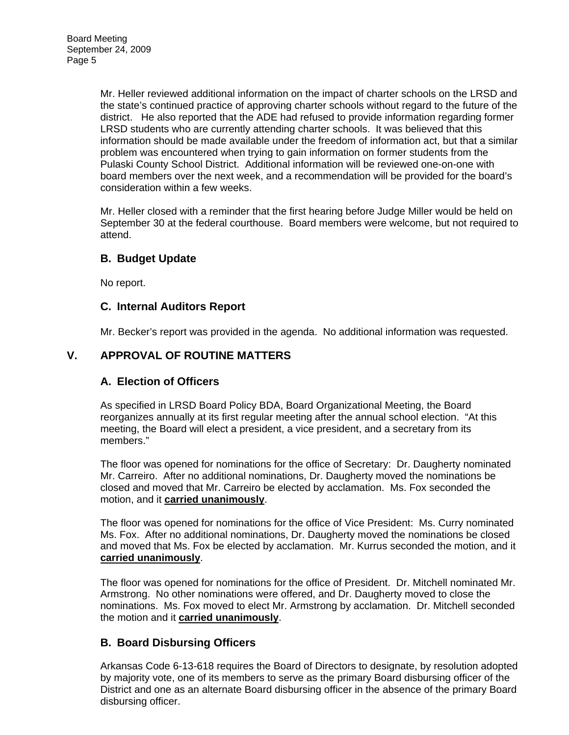Mr. Heller reviewed additional information on the impact of charter schools on the LRSD and the state's continued practice of approving charter schools without regard to the future of the district. He also reported that the ADE had refused to provide information regarding former LRSD students who are currently attending charter schools. It was believed that this information should be made available under the freedom of information act, but that a similar problem was encountered when trying to gain information on former students from the Pulaski County School District. Additional information will be reviewed one-on-one with board members over the next week, and a recommendation will be provided for the board's consideration within a few weeks.

Mr. Heller closed with a reminder that the first hearing before Judge Miller would be held on September 30 at the federal courthouse. Board members were welcome, but not required to attend.

## **B. Budget Update**

No report.

## **C. Internal Auditors Report**

Mr. Becker's report was provided in the agenda. No additional information was requested.

# **V. APPROVAL OF ROUTINE MATTERS**

# **A. Election of Officers**

As specified in LRSD Board Policy BDA, Board Organizational Meeting, the Board reorganizes annually at its first regular meeting after the annual school election. "At this meeting, the Board will elect a president, a vice president, and a secretary from its members."

The floor was opened for nominations for the office of Secretary: Dr. Daugherty nominated Mr. Carreiro. After no additional nominations, Dr. Daugherty moved the nominations be closed and moved that Mr. Carreiro be elected by acclamation. Ms. Fox seconded the motion, and it **carried unanimously**.

The floor was opened for nominations for the office of Vice President: Ms. Curry nominated Ms. Fox. After no additional nominations, Dr. Daugherty moved the nominations be closed and moved that Ms. Fox be elected by acclamation. Mr. Kurrus seconded the motion, and it **carried unanimously**.

The floor was opened for nominations for the office of President. Dr. Mitchell nominated Mr. Armstrong. No other nominations were offered, and Dr. Daugherty moved to close the nominations. Ms. Fox moved to elect Mr. Armstrong by acclamation. Dr. Mitchell seconded the motion and it **carried unanimously**.

# **B. Board Disbursing Officers**

Arkansas Code 6-13-618 requires the Board of Directors to designate, by resolution adopted by majority vote, one of its members to serve as the primary Board disbursing officer of the District and one as an alternate Board disbursing officer in the absence of the primary Board disbursing officer.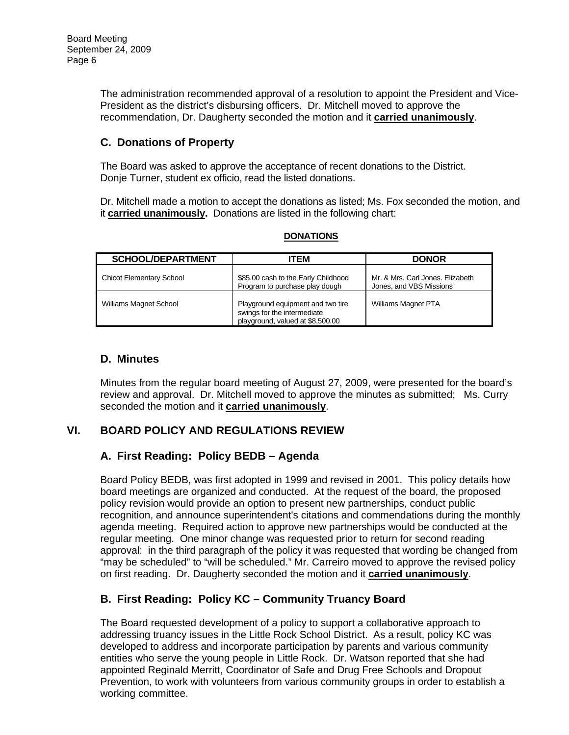The administration recommended approval of a resolution to appoint the President and Vice-President as the district's disbursing officers. Dr. Mitchell moved to approve the recommendation, Dr. Daugherty seconded the motion and it **carried unanimously**.

# **C. Donations of Property**

The Board was asked to approve the acceptance of recent donations to the District. Donje Turner, student ex officio, read the listed donations.

Dr. Mitchell made a motion to accept the donations as listed; Ms. Fox seconded the motion, and it **carried unanimously.** Donations are listed in the following chart:

| <b>SCHOOL/DEPARTMENT</b>        | <b>ITEM</b>                                                                                          | <b>DONOR</b>                                                |
|---------------------------------|------------------------------------------------------------------------------------------------------|-------------------------------------------------------------|
| <b>Chicot Elementary School</b> | \$85.00 cash to the Early Childhood<br>Program to purchase play dough                                | Mr. & Mrs. Carl Jones. Elizabeth<br>Jones, and VBS Missions |
| <b>Williams Magnet School</b>   | Playground equipment and two tire<br>swings for the intermediate<br>playground, valued at \$8,500.00 | Williams Magnet PTA                                         |

**DONATIONS**

## **D. Minutes**

Minutes from the regular board meeting of August 27, 2009, were presented for the board's review and approval. Dr. Mitchell moved to approve the minutes as submitted; Ms. Curry seconded the motion and it **carried unanimously**.

# **VI. BOARD POLICY AND REGULATIONS REVIEW**

# **A. First Reading: Policy BEDB – Agenda**

Board Policy BEDB, was first adopted in 1999 and revised in 2001. This policy details how board meetings are organized and conducted. At the request of the board, the proposed policy revision would provide an option to present new partnerships, conduct public recognition, and announce superintendent's citations and commendations during the monthly agenda meeting. Required action to approve new partnerships would be conducted at the regular meeting. One minor change was requested prior to return for second reading approval: in the third paragraph of the policy it was requested that wording be changed from "may be scheduled" to "will be scheduled." Mr. Carreiro moved to approve the revised policy on first reading. Dr. Daugherty seconded the motion and it **carried unanimously**.

# **B. First Reading: Policy KC – Community Truancy Board**

The Board requested development of a policy to support a collaborative approach to addressing truancy issues in the Little Rock School District. As a result, policy KC was developed to address and incorporate participation by parents and various community entities who serve the young people in Little Rock. Dr. Watson reported that she had appointed Reginald Merritt, Coordinator of Safe and Drug Free Schools and Dropout Prevention, to work with volunteers from various community groups in order to establish a working committee.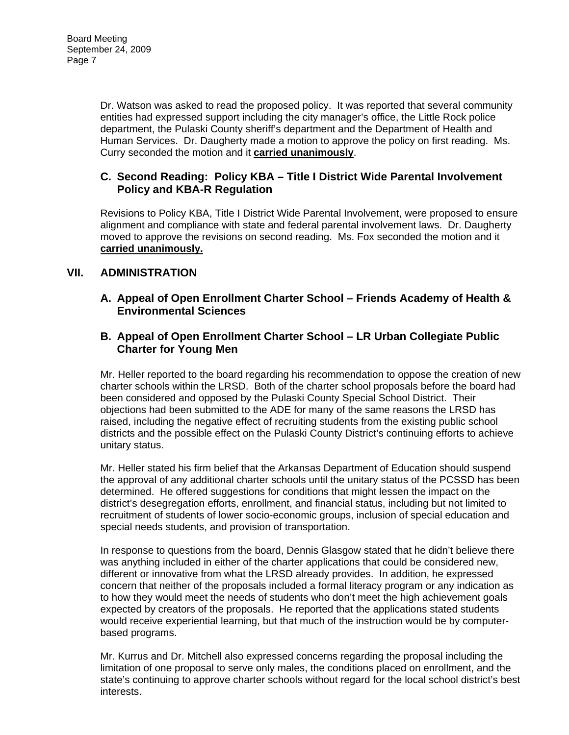Dr. Watson was asked to read the proposed policy. It was reported that several community entities had expressed support including the city manager's office, the Little Rock police department, the Pulaski County sheriff's department and the Department of Health and Human Services. Dr. Daugherty made a motion to approve the policy on first reading. Ms. Curry seconded the motion and it **carried unanimously**.

### **C. Second Reading: Policy KBA – Title I District Wide Parental Involvement Policy and KBA-R Regulation**

Revisions to Policy KBA, Title I District Wide Parental Involvement, were proposed to ensure alignment and compliance with state and federal parental involvement laws. Dr. Daugherty moved to approve the revisions on second reading. Ms. Fox seconded the motion and it **carried unanimously.**

## **VII. ADMINISTRATION**

**A. Appeal of Open Enrollment Charter School – Friends Academy of Health & Environmental Sciences** 

### **B. Appeal of Open Enrollment Charter School – LR Urban Collegiate Public Charter for Young Men**

Mr. Heller reported to the board regarding his recommendation to oppose the creation of new charter schools within the LRSD. Both of the charter school proposals before the board had been considered and opposed by the Pulaski County Special School District. Their objections had been submitted to the ADE for many of the same reasons the LRSD has raised, including the negative effect of recruiting students from the existing public school districts and the possible effect on the Pulaski County District's continuing efforts to achieve unitary status.

Mr. Heller stated his firm belief that the Arkansas Department of Education should suspend the approval of any additional charter schools until the unitary status of the PCSSD has been determined. He offered suggestions for conditions that might lessen the impact on the district's desegregation efforts, enrollment, and financial status, including but not limited to recruitment of students of lower socio-economic groups, inclusion of special education and special needs students, and provision of transportation.

In response to questions from the board, Dennis Glasgow stated that he didn't believe there was anything included in either of the charter applications that could be considered new, different or innovative from what the LRSD already provides. In addition, he expressed concern that neither of the proposals included a formal literacy program or any indication as to how they would meet the needs of students who don't meet the high achievement goals expected by creators of the proposals. He reported that the applications stated students would receive experiential learning, but that much of the instruction would be by computerbased programs.

Mr. Kurrus and Dr. Mitchell also expressed concerns regarding the proposal including the limitation of one proposal to serve only males, the conditions placed on enrollment, and the state's continuing to approve charter schools without regard for the local school district's best interests.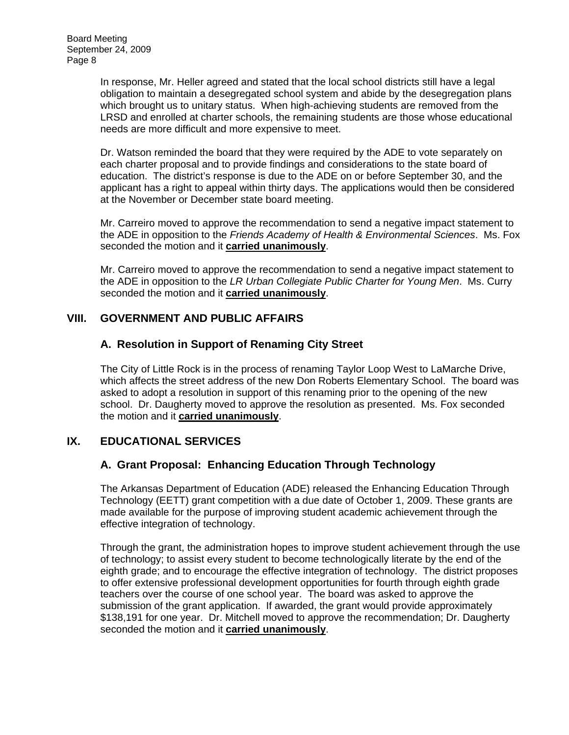In response, Mr. Heller agreed and stated that the local school districts still have a legal obligation to maintain a desegregated school system and abide by the desegregation plans which brought us to unitary status. When high-achieving students are removed from the LRSD and enrolled at charter schools, the remaining students are those whose educational needs are more difficult and more expensive to meet.

Dr. Watson reminded the board that they were required by the ADE to vote separately on each charter proposal and to provide findings and considerations to the state board of education. The district's response is due to the ADE on or before September 30, and the applicant has a right to appeal within thirty days. The applications would then be considered at the November or December state board meeting.

Mr. Carreiro moved to approve the recommendation to send a negative impact statement to the ADE in opposition to the *Friends Academy of Health & Environmental Sciences*. Ms. Fox seconded the motion and it **carried unanimously**.

Mr. Carreiro moved to approve the recommendation to send a negative impact statement to the ADE in opposition to the *LR Urban Collegiate Public Charter for Young Men*. Ms. Curry seconded the motion and it **carried unanimously**.

## **VIII. GOVERNMENT AND PUBLIC AFFAIRS**

## **A. Resolution in Support of Renaming City Street**

The City of Little Rock is in the process of renaming Taylor Loop West to LaMarche Drive, which affects the street address of the new Don Roberts Elementary School. The board was asked to adopt a resolution in support of this renaming prior to the opening of the new school. Dr. Daugherty moved to approve the resolution as presented. Ms. Fox seconded the motion and it **carried unanimously**.

# **IX. EDUCATIONAL SERVICES**

### **A. Grant Proposal: Enhancing Education Through Technology**

The Arkansas Department of Education (ADE) released the Enhancing Education Through Technology (EETT) grant competition with a due date of October 1, 2009. These grants are made available for the purpose of improving student academic achievement through the effective integration of technology.

Through the grant, the administration hopes to improve student achievement through the use of technology; to assist every student to become technologically literate by the end of the eighth grade; and to encourage the effective integration of technology. The district proposes to offer extensive professional development opportunities for fourth through eighth grade teachers over the course of one school year. The board was asked to approve the submission of the grant application. If awarded, the grant would provide approximately \$138,191 for one year. Dr. Mitchell moved to approve the recommendation; Dr. Daugherty seconded the motion and it **carried unanimously**.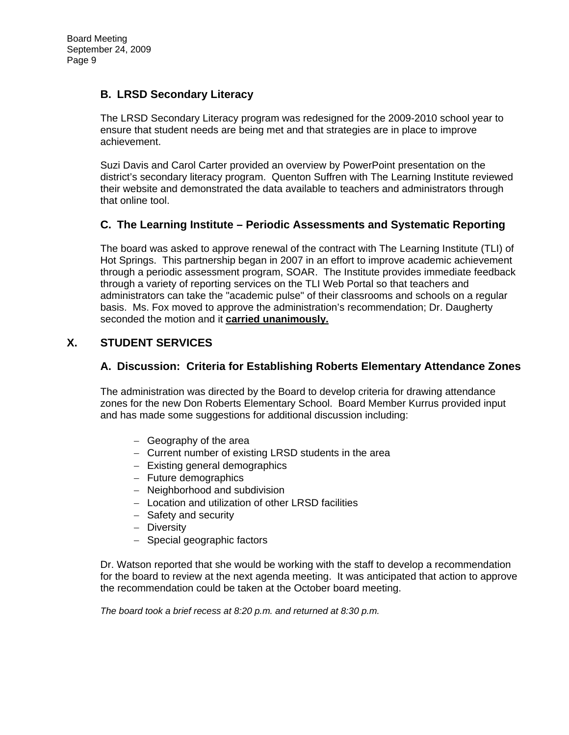## **B. LRSD Secondary Literacy**

The LRSD Secondary Literacy program was redesigned for the 2009-2010 school year to ensure that student needs are being met and that strategies are in place to improve achievement.

Suzi Davis and Carol Carter provided an overview by PowerPoint presentation on the district's secondary literacy program. Quenton Suffren with The Learning Institute reviewed their website and demonstrated the data available to teachers and administrators through that online tool.

## **C. The Learning Institute – Periodic Assessments and Systematic Reporting**

The board was asked to approve renewal of the contract with The Learning Institute (TLI) of Hot Springs. This partnership began in 2007 in an effort to improve academic achievement through a periodic assessment program, SOAR. The Institute provides immediate feedback through a variety of reporting services on the TLI Web Portal so that teachers and administrators can take the "academic pulse" of their classrooms and schools on a regular basis. Ms. Fox moved to approve the administration's recommendation; Dr. Daugherty seconded the motion and it **carried unanimously.**

## **X. STUDENT SERVICES**

### **A. Discussion: Criteria for Establishing Roberts Elementary Attendance Zones**

The administration was directed by the Board to develop criteria for drawing attendance zones for the new Don Roberts Elementary School. Board Member Kurrus provided input and has made some suggestions for additional discussion including:

- − Geography of the area
- − Current number of existing LRSD students in the area
- − Existing general demographics
- − Future demographics
- − Neighborhood and subdivision
- − Location and utilization of other LRSD facilities
- − Safety and security
- − Diversity
- − Special geographic factors

Dr. Watson reported that she would be working with the staff to develop a recommendation for the board to review at the next agenda meeting. It was anticipated that action to approve the recommendation could be taken at the October board meeting.

*The board took a brief recess at 8:20 p.m. and returned at 8:30 p.m.*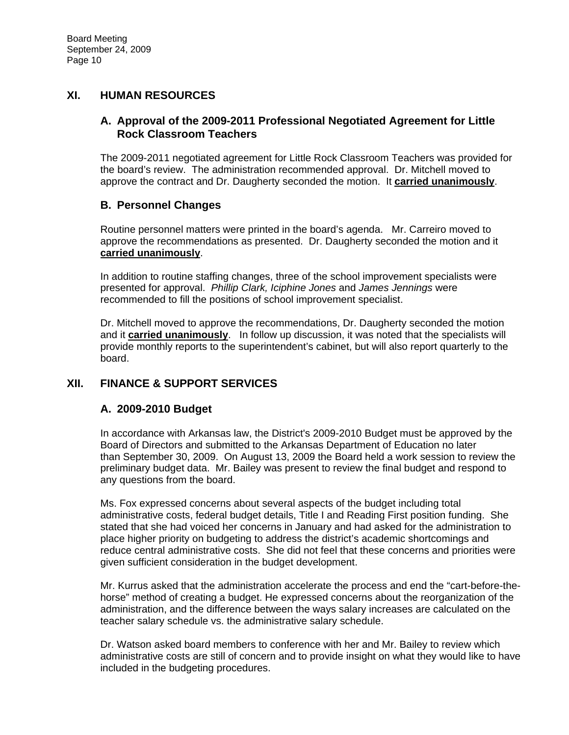## **XI. HUMAN RESOURCES**

### **A. Approval of the 2009-2011 Professional Negotiated Agreement for Little Rock Classroom Teachers**

The 2009-2011 negotiated agreement for Little Rock Classroom Teachers was provided for the board's review. The administration recommended approval. Dr. Mitchell moved to approve the contract and Dr. Daugherty seconded the motion. It **carried unanimously**.

## **B. Personnel Changes**

Routine personnel matters were printed in the board's agenda. Mr. Carreiro moved to approve the recommendations as presented. Dr. Daugherty seconded the motion and it **carried unanimously**.

In addition to routine staffing changes, three of the school improvement specialists were presented for approval. *Phillip Clark, Iciphine Jones* and *James Jennings* were recommended to fill the positions of school improvement specialist.

Dr. Mitchell moved to approve the recommendations, Dr. Daugherty seconded the motion and it **carried unanimously**. In follow up discussion, it was noted that the specialists will provide monthly reports to the superintendent's cabinet, but will also report quarterly to the board.

# **XII. FINANCE & SUPPORT SERVICES**

### **A. 2009-2010 Budget**

In accordance with Arkansas law, the District's 2009-2010 Budget must be approved by the Board of Directors and submitted to the Arkansas Department of Education no later than September 30, 2009. On August 13, 2009 the Board held a work session to review the preliminary budget data. Mr. Bailey was present to review the final budget and respond to any questions from the board.

Ms. Fox expressed concerns about several aspects of the budget including total administrative costs, federal budget details, Title I and Reading First position funding. She stated that she had voiced her concerns in January and had asked for the administration to place higher priority on budgeting to address the district's academic shortcomings and reduce central administrative costs. She did not feel that these concerns and priorities were given sufficient consideration in the budget development.

Mr. Kurrus asked that the administration accelerate the process and end the "cart-before-thehorse" method of creating a budget. He expressed concerns about the reorganization of the administration, and the difference between the ways salary increases are calculated on the teacher salary schedule vs. the administrative salary schedule.

Dr. Watson asked board members to conference with her and Mr. Bailey to review which administrative costs are still of concern and to provide insight on what they would like to have included in the budgeting procedures.